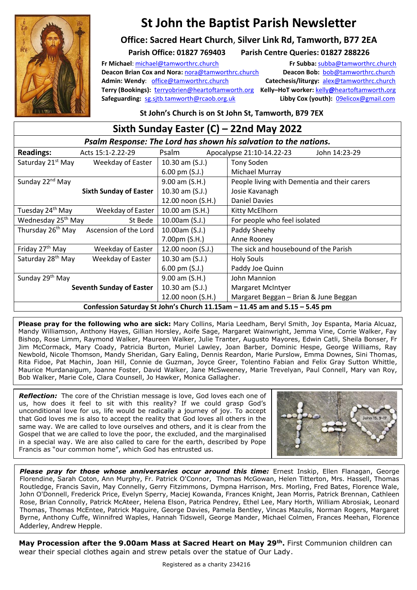

# **St John the Baptist Parish Newsletter**

### **Office: Sacred Heart Church**, **Silver Link Rd, Tamworth, B77 2EA**

### **Parish Office: 01827 769403 Parish Centre Queries: 01827 288226**

**Fr Michael**: [michael@tamworthrc.church](mailto:michael@tamworthrc.church) **Fr Subba:** [subba@tamworthrc.church](mailto:subba@tamworthrc.church) **Deacon Brian Cox and Nora: [nora@tamworthrc.church](mailto:nora@tamworthrc.church) Deacon Bob: bob@tamworthrc.church Admin: Wendy**: [office@tamworthrc.church](mailto:office@tamworthrc.church) **Catechesis/liturgy:** [alex@tamworthrc.church](mailto:alex@tamworthrc.church)  **Terry (Bookings):** [t](mailto:terryobrien@heartoftamworth.org)[erryobrien@heartoftamworth.org](mailto:terryobrien@heartoftamworth.org) **Kelly–HoT worker:** kelly**@**[heartoftamworth](mailto:kelly@heartoftamworth.org)**.**org **Safeguarding:** [sg.sjtb.tamworth@rcaob.org.uk](mailto:sg.sjtb.tamworth@rcaob.org.uk) **Libby Cox (youth):** [09elicox@gmail.com](mailto:09elicox@gmail.com)

**St John's Church is on St John St, Tamworth, B79 7EX**

| Sixth Sunday Easter (C) - 22nd May 2022                                    |                          |                                              |  |
|----------------------------------------------------------------------------|--------------------------|----------------------------------------------|--|
| Psalm Response: The Lord has shown his salvation to the nations.           |                          |                                              |  |
| <b>Readings:</b><br>Acts 15:1-2.22-29                                      | Psalm                    | John 14:23-29<br>Apocalypse 21:10-14.22-23   |  |
| Saturday 21 <sup>st</sup> May<br>Weekday of Easter                         | 10.30 am $(S.J.)$        | Tony Soden                                   |  |
|                                                                            | $6.00 \text{ pm (S.J.)}$ | Michael Murray                               |  |
| Sunday 22 <sup>nd</sup> May                                                | $9.00$ am $(S.H.)$       | People living with Dementia and their carers |  |
| <b>Sixth Sunday of Easter</b>                                              | 10.30 am $(S.J.)$        | Josie Kavanagh                               |  |
|                                                                            | 12.00 noon (S.H.)        | <b>Daniel Davies</b>                         |  |
| Tuesday 24 <sup>th</sup> May<br>Weekday of Easter                          | 10.00 am (S.H.)          | Kitty McElhorn                               |  |
| Wednesday 25 <sup>th</sup> May<br>St Bede                                  | 10.00am (S.J.)           | For people who feel isolated                 |  |
| Thursday 26 <sup>th</sup> May<br>Ascension of the Lord                     | 10.00am (S.J.)           | Paddy Sheehy                                 |  |
|                                                                            | 7.00pm (S.H.)            | Anne Rooney                                  |  |
| Friday 27 <sup>th</sup> May<br>Weekday of Easter                           | 12.00 noon (S.J.)        | The sick and housebound of the Parish        |  |
| Saturday 28 <sup>th</sup> May<br>Weekday of Easter                         | 10.30 am $(S.J.)$        | <b>Holy Souls</b>                            |  |
|                                                                            | 6.00 pm $(S.J.)$         | Paddy Joe Quinn                              |  |
| Sunday 29 <sup>th</sup> May                                                | 9.00 am (S.H.)           | John Mannion                                 |  |
| <b>Seventh Sunday of Easter</b>                                            | 10.30 am $(S.J.)$        | Margaret McIntyer                            |  |
|                                                                            | 12.00 noon (S.H.)        | Margaret Beggan - Brian & June Beggan        |  |
| Confession Saturday St John's Church 11.15am - 11.45 am and 5.15 - 5.45 pm |                          |                                              |  |

**Please pray for the following who are sick:** Mary Collins, Maria Leedham, Beryl Smith, Joy Espanta, Maria Alcuaz, Mandy Williamson, Anthony Hayes, Gillian Horsley, Aoife Sage, Margaret Wainwright, Jemma Vine, Corrie Walker, Fay Bishop, Rose Limm, Raymond Walker, Maureen Walker, Julie Tranter, Augusto Mayores, Edwin Catli, Sheila Bonser, Fr Jim McCormack, Mary Coady, Patricia Burton, Muriel Lawley, Joan Barber, Dominic Hespe, George Williams, Ray Newbold, Nicole Thomson, Mandy Sheridan, Gary Ealing, Dennis Reardon, Marie Purslow, Emma Downes, Sini Thomas, Rita Fidoe, Pat Machin, Joan Hill, Connie de Guzman, Joyce Greer, Tolentino Fabian and Felix Gray Sutton Whittle, Maurice Murdanaigum, Joanne Foster, David Walker, Jane McSweeney, Marie Trevelyan, Paul Connell, Mary van Roy, Bob Walker, Marie Cole, Clara Counsell, Jo Hawker, Monica Gallagher.

*Reflection:* The core of the Christian message is love, God loves each one of us, how does it feel to sit with this reality? If we could grasp God's unconditional love for us, life would be radically a journey of joy. To accept that God loves me is also to accept the reality that God loves all others in the same way. We are called to love ourselves and others, and it is clear from the Gospel that we are called to love the poor, the excluded, and the marginalised in a special way. We are also called to care for the earth, described by Pope Francis as "our common home", which God has entrusted us.



*Please pray for those whose anniversaries occur around this time:* Ernest Inskip, Ellen Flanagan, George Florendine, Sarah Coton, Ann Murphy, Fr. Patrick O'Connor, Thomas McGowan, Helen Titterton, Mrs. Hassell, Thomas Routledge, Francis Savin, May Connelly, Gerry Fitzimmons, Dympna Harrison, Mrs. Morling, Fred Bates, Florence Wale, John O'Donnell, Frederick Price, Evelyn Sperry, Maciej Kowanda, Frances Knight, Jean Morris, Patrick Brennan, Cathleen Rose, Brian Connolly, Patrick McAteer, Helena Elson, Patrica Pendrey, Ethel Lee, Mary Horth, William Abrosiak, Leonard Thomas, Thomas McEntee, Patrick Maguire, George Davies, Pamela Bentley, Vincas Mazulis, Norman Rogers, Margaret Byrne, Anthony Cuffe, Winnifred Waples, Hannah Tidswell, George Mander, Michael Colmen, Frances Meehan, Florence Adderley, Andrew Hepple.

**May Procession after the 9.00am Mass at Sacred Heart on May 29th .** First Communion children can wear their special clothes again and strew petals over the statue of Our Lady.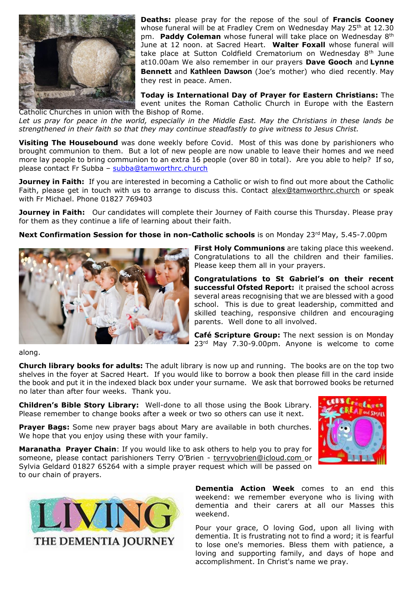

**Deaths:** please pray for the repose of the soul of **Francis Cooney** whose funeral will be at Fradley Crem on Wednesday May 25th at 12.30 pm. **Paddy Coleman** whose funeral will take place on Wednesday 8th June at 12 noon. at Sacred Heart. **Walter Foxall** whose funeral will take place at Sutton Coldfield Crematorium on Wednesday 8<sup>th</sup> June at10.00am We also remember in our prayers **Dave Gooch** and **Lynne Bennett** and **Kathleen Dawson** (Joe's mother) who died recently. May they rest in peace. Amen.

**Today is International Day of Prayer for Eastern Christians:** The event unites the Roman Catholic Church in Europe with the Eastern

Catholic Churches in union with the Bishop of Rome. *Let us pray for peace in the world, especially in the Middle East. May the Christians in these lands be strengthened in their faith so that they may continue steadfastly to give witness to Jesus Christ.*

**Visiting The Housebound** was done weekly before Covid. Most of this was done by parishioners who brought communion to them. But a lot of new people are now unable to leave their homes and we need more lay people to bring communion to an extra 16 people (over 80 in total). Are you able to help? If so, please contact Fr Subba – [subba@tamworthrc.church](mailto:subba@tamworthrc.church)

**Journey in Faith:** If you are interested in becoming a Catholic or wish to find out more about the Catholic Faith, please get in touch with us to arrange to discuss this. Contact [alex@tamworthrc.church](mailto:alex@tamworthrc.church) or speak with Fr Michael. Phone 01827 769403

**Journey in Faith:** Our candidates will complete their Journey of Faith course this Thursday. Please pray for them as they continue a life of learning about their faith.

**Next Confirmation Session for those in non-Catholic schools** is on Monday 23<sup>rd</sup> May, 5.45-7.00pm



**First Holy Communions** are taking place this weekend. Congratulations to all the children and their families. Please keep them all in your prayers.

**Congratulations to St Gabriel's on their recent successful Ofsted Report:** it praised the school across several areas recognising that we are blessed with a good school. This is due to great leadership, committed and skilled teaching, responsive children and encouraging parents. Well done to all involved.

**Café Scripture Group:** The next session is on Monday 23<sup>rd</sup> May 7.30-9.00pm. Anyone is welcome to come

along.

**Church library books for adults:** The adult library is now up and running. The books are on the top two shelves in the foyer at Sacred Heart. If you would like to borrow a book then please fill in the card inside the book and put it in the indexed black box under your surname. We ask that borrowed books be returned no later than after four weeks. Thank you.

**Children's Bible Story Library:** Well-done to all those using the Book Library. Please remember to change books after a week or two so others can use it next.

**Prayer Bags:** Some new prayer bags about Mary are available in both churches. We hope that you enjoy using these with your family.

**Maranatha Prayer Chain**: If you would like to ask others to help you to pray for someone, please contact parishioners Terry O'Brien - [terryvobrien@icloud.com](mailto:terryvobrien@icloud.com) or Sylvia Geldard 01827 65264 with a simple prayer request which will be passed on to our chain of prayers.



**Dementia Action Week** comes to an end this weekend: we remember everyone who is living with dementia and their carers at all our Masses this weekend.

Pour your grace, O loving God, upon all living with dementia. It is frustrating not to find a word; it is fearful to lose one's memories. Bless them with patience, a loving and supporting family, and days of hope and accomplishment. In Christ's name we pray.

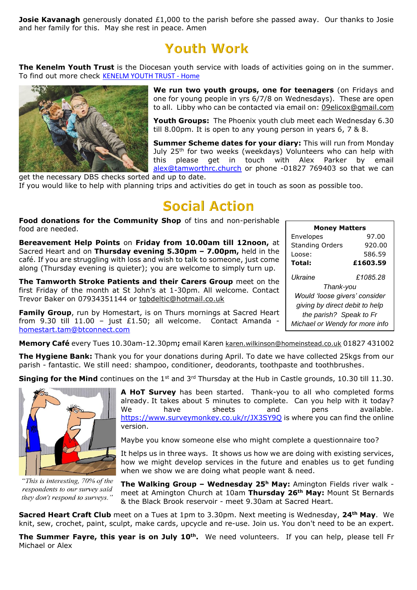**Josie Kavanagh** generously donated £1,000 to the parish before she passed away. Our thanks to Josie and her family for this. May she rest in peace. Amen

## **Youth Work**

**The Kenelm Youth Trust** is the Diocesan youth service with loads of activities going on in the summer. To find out more check **[KENELM YOUTH TRUST -](https://www.kenelmyouthtrust.org.uk/) Home** 



**We run two youth groups, one for teenagers** (on Fridays and one for young people in yrs 6/7/8 on Wednesdays). These are open to all. Libby who can be contacted via email on: [09elicox@gmail.com](mailto:09elicox@gmail.com)

**Youth Groups:** The Phoenix youth club meet each Wednesday 6.30 till 8.00pm. It is open to any young person in years 6, 7 & 8.

**Summer Scheme dates for your diary:** This will run from Monday July 25<sup>th</sup> for two weeks (weekdays) Volunteers who can help with this please get in touch with Alex Parker by email [alex@tamworthrc.church](mailto:alex@tamworthrc.church) or phone -01827 769403 so that we can

get the necessary DBS checks sorted and up to date. If you would like to help with planning trips and activities do get in touch as soon as possible too.

# **Social Action**

**Food donations for the Community Shop** of tins and non-perishable food are needed.

**Bereavement Help Points** on **Friday from 10.00am till 12noon,** at Sacred Heart and on **Thursday evening 5.30pm – 7.00pm,** held in the café. If you are struggling with loss and wish to talk to someone, just come along (Thursday evening is quieter); you are welcome to simply turn up.

**The Tamworth Stroke Patients and their Carers Group** meet on the first Friday of the month at St John's at 1-30pm. All welcome. Contact Trevor Baker on 07934351144 or [tgbdeltic@hotmail.co.uk](mailto:tgbdeltic@hotmail.co.uk)

**Family Group**, run by Homestart, is on Thurs mornings at Sacred Heart from 9.30 till 11.00 - just £1.50; all welcome. Contact Amanda [homestart.tam@btconnect.com](mailto:homestart.tam@btconnect.com)

| <b>Money Matters</b>           |          |  |  |
|--------------------------------|----------|--|--|
| Envelopes                      | 97.00    |  |  |
| <b>Standing Orders</b>         | 920.00   |  |  |
| Loose:                         | 586.59   |  |  |
| Total:                         | £1603.59 |  |  |
| l Ikraine<br>Thank-you         | £1085.28 |  |  |
| Would 'loose givers' consider  |          |  |  |
| giving by direct debit to help |          |  |  |
| the parish? Speak to Fr        |          |  |  |
| Michael or Wendy for more info |          |  |  |

**Memory Café** every Tues 10.30am-12.30pm**;** email Karen [karen.wilkinson@homeinstead.co.uk](mailto:karen.wilkinson@homeinstead.co.uk) 01827 431002

**The Hygiene Bank:** Thank you for your donations during April. To date we have collected 25kgs from our parish - fantastic. We still need: shampoo, conditioner, deodorants, toothpaste and toothbrushes.

**Singing for the Mind** continues on the 1<sup>st</sup> and 3<sup>rd</sup> Thursday at the Hub in Castle grounds, 10.30 till 11.30.



"This is interesting, 70% of the respondents to our survey said they don't respond to surveys."

**A HoT Survey** has been started. Thank-you to all who completed forms already. It takes about 5 minutes to complete. Can you help with it today? We have sheets and pens available. <https://www.surveymonkey.co.uk/r/JX3SY9Q> is where you can find the online version.

Maybe you know someone else who might complete a questionnaire too?

It helps us in three ways. It shows us how we are doing with existing services, how we might develop services in the future and enables us to get funding when we show we are doing what people want & need.

**The Walking Group – Wednesday 25<sup>h</sup> May:** Amington Fields river walk meet at Amington Church at 10am **Thursday 26th May:** Mount St Bernards & the Black Brook reservoir - meet 9.30am at Sacred Heart.

**Sacred Heart Craft Club** meet on a Tues at 1pm to 3.30pm. Next meeting is Wednesday, **24th May**. We knit, sew, crochet, paint, sculpt, make cards, upcycle and re-use. Join us. You don't need to be an expert.

**The Summer Fayre, this year is on July 10th .** We need volunteers. If you can help, please tell Fr Michael or Alex